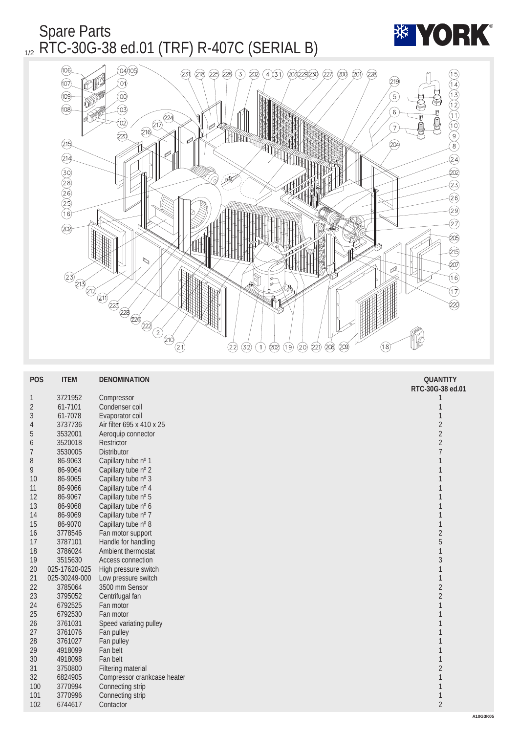## Spare Parts  $_{1/2}$  RTC-30G-38 ed.01 (TRF) R-407C (SERIAL B)



| <b>POS</b>       | <b>ITEM</b>   | <b>DENOMINATION</b>         | <b>QUANTITY</b>  |
|------------------|---------------|-----------------------------|------------------|
|                  |               |                             | RTC-30G-38 ed.01 |
| $\mathbf{1}$     | 3721952       | Compressor                  | 1                |
| $\boldsymbol{2}$ | 61-7101       | Condenser coil              | 1                |
| $\boldsymbol{3}$ | 61-7078       | Evaporator coil             | $\mathbf{1}$     |
| $\overline{4}$   | 3737736       | Air filter 695 x 410 x 25   | $\boldsymbol{2}$ |
| $\sqrt{5}$       | 3532001       | Aeroquip connector          | $\overline{c}$   |
| $\boldsymbol{6}$ | 3520018       | <b>Restrictor</b>           | $\overline{c}$   |
| $\overline{7}$   | 3530005       | <b>Distributor</b>          | $\overline{7}$   |
| 8                | 86-9063       | Capillary tube nº 1         | $\mathbf{1}$     |
| 9                | 86-9064       | Capillary tube nº 2         | $\mathbf{1}$     |
| 10               | 86-9065       | Capillary tube nº 3         | $\mathbf{1}$     |
| 11               | 86-9066       | Capillary tube nº 4         | 1                |
| 12               | 86-9067       | Capillary tube nº 5         | 1                |
| 13               | 86-9068       | Capillary tube nº 6         |                  |
| 14               | 86-9069       | Capillary tube nº 7         | 1                |
| 15               | 86-9070       | Capillary tube nº 8         | 1                |
| 16               | 3778546       | Fan motor support           | $\boldsymbol{2}$ |
| 17               | 3787101       | Handle for handling         | $\overline{5}$   |
| 18               | 3786024       | Ambient thermostat          | 1                |
| 19               | 3515630       | <b>Access connection</b>    | 3                |
| 20               | 025-17620-025 | High pressure switch        | $\mathbf{1}$     |
| 21               | 025-30249-000 | Low pressure switch         | $\mathbf{1}$     |
| 22               | 3785064       | 3500 mm Sensor              | $\boldsymbol{2}$ |
| 23               | 3795052       | Centrifugal fan             | $\boldsymbol{2}$ |
| 24               | 6792525       | Fan motor                   | 1                |
| 25               | 6792530       | Fan motor                   | 1                |
| 26               | 3761031       | Speed variating pulley      | 1                |
| 27               | 3761076       | Fan pulley                  | 1                |
| 28               | 3761027       | Fan pulley                  |                  |
| 29               | 4918099       | Fan belt                    | 1                |
| 30               | 4918098       | Fan belt                    | $\mathbf{1}$     |
| 31               | 3750800       | <b>Filtering material</b>   | $\boldsymbol{2}$ |
| 32               | 6824905       | Compressor crankcase heater | $\mathbf{1}$     |
| 100              | 3770994       | Connecting strip            | 1                |
| 101              | 3770996       | Connecting strip            | $\mathbf{1}$     |
| 102              | 6744617       | Contactor                   | $\overline{2}$   |
|                  |               |                             |                  |

**\*\* YORK**